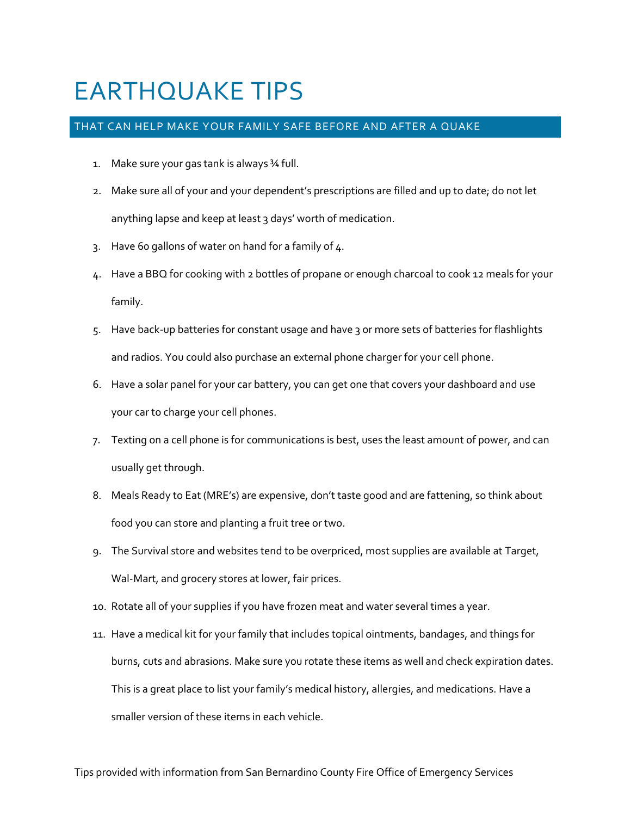## EARTHQUAKE TIPS

## THAT CAN HELP MAKE YOUR FAMILY SAFE BEFORE AND AFTER A QUAKE

- 1. Make sure your gas tank is always ¾ full.
- 2. Make sure all of your and your dependent's prescriptions are filled and up to date; do not let anything lapse and keep at least 3 days' worth of medication.
- 3. Have 60 gallons of water on hand for a family of 4.
- 4. Have a BBQ for cooking with 2 bottles of propane or enough charcoal to cook 12 meals for your family.
- 5. Have back-up batteries for constant usage and have 3 or more sets of batteries for flashlights and radios. You could also purchase an external phone charger for your cell phone.
- 6. Have a solar panel for your car battery, you can get one that covers your dashboard and use your car to charge your cell phones.
- 7. Texting on a cell phone is for communications is best, uses the least amount of power, and can usually get through.
- 8. Meals Ready to Eat (MRE's) are expensive, don't taste good and are fattening, so think about food you can store and planting a fruit tree or two.
- 9. The Survival store and websites tend to be overpriced, most supplies are available at Target, Wal-Mart, and grocery stores at lower, fair prices.
- 10. Rotate all of your supplies if you have frozen meat and water several times a year.
- 11. Have a medical kit for your family that includes topical ointments, bandages, and things for burns, cuts and abrasions. Make sure you rotate these items as well and check expiration dates. This is a great place to list your family's medical history, allergies, and medications. Have a smaller version of these items in each vehicle.